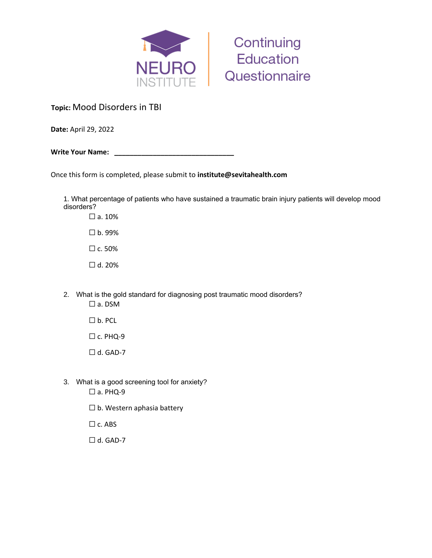



**Topic:** Mood Disorders in TBI

**Date:** April 29, 2022

Write Your Name: **Write Your Name:** 

Once this form is completed, please submit to **institute@sevitahealth.com**

1. What percentage of patients who have sustained a traumatic brain injury patients will develop mood disorders?

 $\square$  a. 10%  $\square$  b. 99%  $\Box$  c. 50%

 $\Box$  d. 20%

- 2. What is the gold standard for diagnosing post traumatic mood disorders? ☐ a. DSM
	- $\square$  b. PCL
	- ☐ c. PHQ‐9
	- $\Box$  d. GAD-7
- 3. What is a good screening tool for anxiety?
	- □ a. PHQ-9
	- $\Box$  b. Western aphasia battery
	- $\Box$  c. ABS
	- $\Box$  d. GAD-7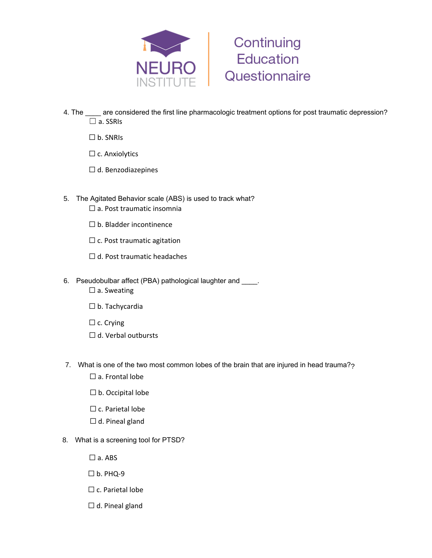



- 4. The \_\_\_\_ are considered the first line pharmacologic treatment options for post traumatic depression? ☐ a. SSRIs
	- ☐ b. SNRIs
	- ☐ c. Anxiolytics
	- ☐ d. Benzodiazepines
- 5. The Agitated Behavior scale (ABS) is used to track what?  $\Box$  a. Post traumatic insomnia
	- ☐ b. Bladder incontinence
	- $\Box$  c. Post traumatic agitation
	- $\Box$  d. Post traumatic headaches
- 6. Pseudobulbar affect (PBA) pathological laughter and \_\_\_\_.
	- □ a. Sweating
	- ☐ b. Tachycardia
	- $\Box$  c. Crying
	- ☐ d. Verbal outbursts
- 7. What is one of the two most common lobes of the brain that are injured in head trauma??
	- □ a. Frontal lobe
	- ☐ b. Occipital lobe
	- $\Box$  c. Parietal lobe
	- $\Box$  d. Pineal gland
- 8. What is a screening tool for PTSD?
	- $\square$  a. ABS
	- ☐ b. PHQ‐9
	- $\Box$  c. Parietal lobe
	- $\Box$  d. Pineal gland